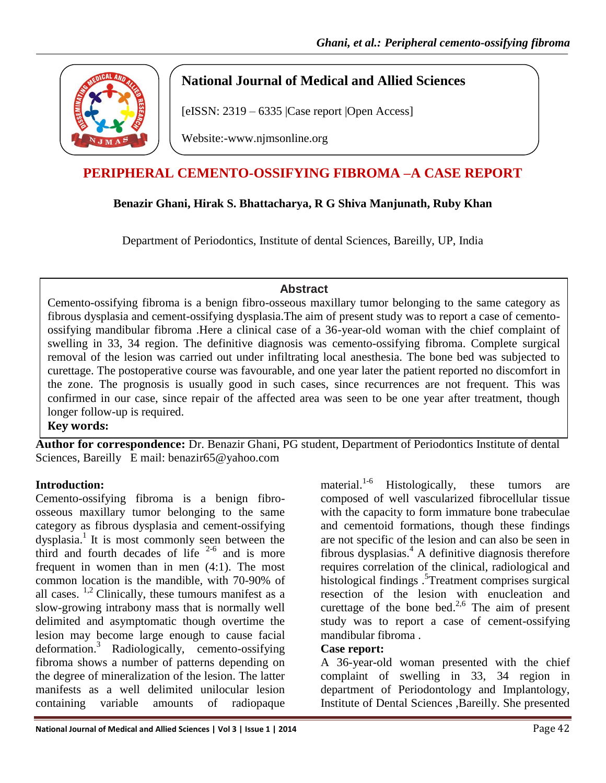

## **National Journal of Medical and Allied Sciences**

[eISSN: 2319 – 6335 |Case report |Open Access]

Website:-www.njmsonline.org

# **PERIPHERAL CEMENTO-OSSIFYING FIBROMA –A CASE REPORT**

## **Benazir Ghani, Hirak S. Bhattacharya, R G Shiva Manjunath, Ruby Khan**

Department of Periodontics, Institute of dental Sciences, Bareilly, UP, India

### **Abstract**

Cemento-ossifying fibroma is a benign fibro-osseous maxillary tumor belonging to the same category as fibrous dysplasia and cement-ossifying dysplasia.The aim of present study was to report a case of cementoossifying mandibular fibroma .Here a clinical case of a 36-year-old woman with the chief complaint of swelling in 33, 34 region. The definitive diagnosis was cemento-ossifying fibroma. Complete surgical removal of the lesion was carried out under infiltrating local anesthesia. The bone bed was subjected to curettage. The postoperative course was favourable, and one year later the patient reported no discomfort in the zone. The prognosis is usually good in such cases, since recurrences are not frequent. This was confirmed in our case, since repair of the affected area was seen to be one year after treatment, though longer follow-up is required.

**Key words:** 

**Author for correspondence:** Dr. Benazir Ghani, PG student, Department of Periodontics Institute of dental Sciences, Bareilly E mail: benazir65@yahoo.com

## **Introduction:**

Cemento-ossifying fibroma is a benign fibroosseous maxillary tumor belonging to the same category as fibrous dysplasia and cement-ossifying dysplasia. 1 It is most commonly seen between the third and fourth decades of life  $2-6$  and is more frequent in women than in men (4:1). The most common location is the mandible, with 70-90% of all cases.  $^{1,2}$  Clinically, these tumours manifest as a slow-growing intrabony mass that is normally well delimited and asymptomatic though overtime the lesion may become large enough to cause facial deformation. <sup>3</sup> Radiologically, cemento-ossifying fibroma shows a number of patterns depending on the degree of mineralization of the lesion. The latter manifests as a well delimited unilocular lesion containing variable amounts of radiopaque

material.<sup>1-6</sup> Histologically, these tumors are composed of well vascularized fibrocellular tissue with the capacity to form immature bone trabeculae and cementoid formations, though these findings are not specific of the lesion and can also be seen in fibrous dysplasias.<sup>4</sup> A definitive diagnosis therefore requires correlation of the clinical, radiological and histological findings .<sup>5</sup>Treatment comprises surgical resection of the lesion with enucleation and curettage of the bone bed. $^{2,6}$  The aim of present study was to report a case of cement-ossifying mandibular fibroma . **Case report:** 

A 36-year-old woman presented with the chief complaint of swelling in 33, 34 region in department of Periodontology and Implantology, Institute of Dental Sciences ,Bareilly. She presented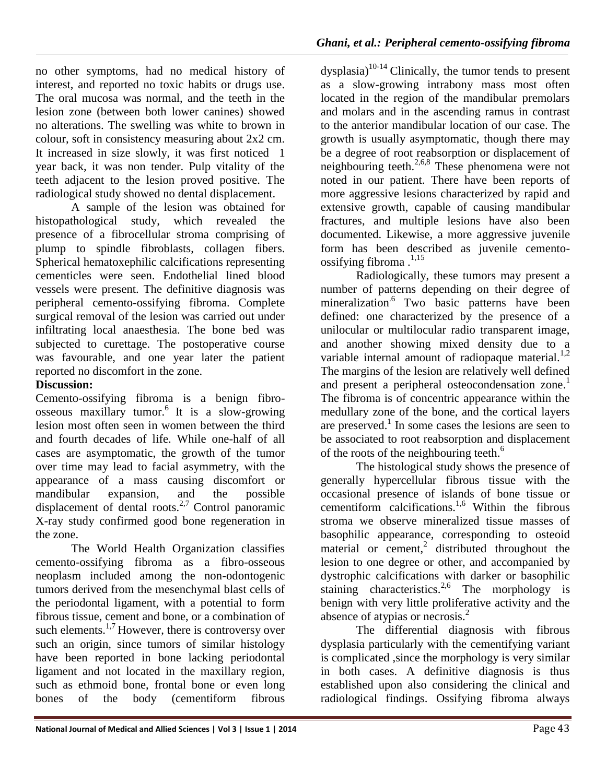*Ghani, et al.: Peripheral cemento-ossifying fibroma*

no other symptoms, had no medical history of interest, and reported no toxic habits or drugs use. The oral mucosa was normal, and the teeth in the lesion zone (between both lower canines) showed no alterations. The swelling was white to brown in colour, soft in consistency measuring about 2x2 cm. It increased in size slowly, it was first noticed 1 year back, it was non tender. Pulp vitality of the teeth adjacent to the lesion proved positive. The radiological study showed no dental displacement.

A sample of the lesion was obtained for histopathological study, which revealed the presence of a fibrocellular stroma comprising of plump to spindle fibroblasts, collagen fibers. Spherical hematoxephilic calcifications representing cementicles were seen. Endothelial lined blood vessels were present. The definitive diagnosis was peripheral cemento-ossifying fibroma. Complete surgical removal of the lesion was carried out under infiltrating local anaesthesia. The bone bed was subjected to curettage. The postoperative course was favourable, and one year later the patient reported no discomfort in the zone.

### **Discussion:**

Cemento-ossifying fibroma is a benign fibroosseous maxillary tumor.<sup>6</sup> It is a slow-growing lesion most often seen in women between the third and fourth decades of life. While one-half of all cases are asymptomatic, the growth of the tumor over time may lead to facial asymmetry, with the appearance of a mass causing discomfort or mandibular expansion, and the possible displacement of dental roots. $2,7$  Control panoramic X-ray study confirmed good bone regeneration in the zone.

The World Health Organization classifies cemento-ossifying fibroma as a fibro-osseous neoplasm included among the non-odontogenic tumors derived from the mesenchymal blast cells of the periodontal ligament, with a potential to form fibrous tissue, cement and bone, or a combination of such elements. $1,7$  However, there is controversy over such an origin, since tumors of similar histology have been reported in bone lacking periodontal ligament and not located in the maxillary region, such as ethmoid bone, frontal bone or even long bones of the body (cementiform fibrous

 $dy$ splasia)<sup>10-14</sup> Clinically, the tumor tends to present as a slow-growing intrabony mass most often located in the region of the mandibular premolars and molars and in the ascending ramus in contrast to the anterior mandibular location of our case. The growth is usually asymptomatic, though there may be a degree of root reabsorption or displacement of neighbouring teeth.2,6,8 These phenomena were not noted in our patient. There have been reports of more aggressive lesions characterized by rapid and extensive growth, capable of causing mandibular fractures, and multiple lesions have also been documented. Likewise, a more aggressive juvenile form has been described as juvenile cementoossifying fibroma $^{1,15}$ .

Radiologically, these tumors may present a number of patterns depending on their degree of mineralization<sup>.6</sup> Two basic patterns have been defined: one characterized by the presence of a unilocular or multilocular radio transparent image, and another showing mixed density due to a variable internal amount of radiopaque material. $^{1,2}$ The margins of the lesion are relatively well defined and present a peripheral osteocondensation zone.<sup>1</sup> The fibroma is of concentric appearance within the medullary zone of the bone, and the cortical layers are preserved.<sup>1</sup> In some cases the lesions are seen to be associated to root reabsorption and displacement of the roots of the neighbouring teeth. $<sup>6</sup>$ </sup>

The histological study shows the presence of generally hypercellular fibrous tissue with the occasional presence of islands of bone tissue or cementiform calcifications.<sup>1,6</sup> Within the fibrous stroma we observe mineralized tissue masses of basophilic appearance, corresponding to osteoid  $material$  or  $cement$ , distributed throughout the lesion to one degree or other, and accompanied by dystrophic calcifications with darker or basophilic staining characteristics.<sup>2,6</sup> The morphology is benign with very little proliferative activity and the absence of atypias or necrosis.<sup>2</sup>

The differential diagnosis with fibrous dysplasia particularly with the cementifying variant is complicated ,since the morphology is very similar in both cases. A definitive diagnosis is thus established upon also considering the clinical and radiological findings. Ossifying fibroma always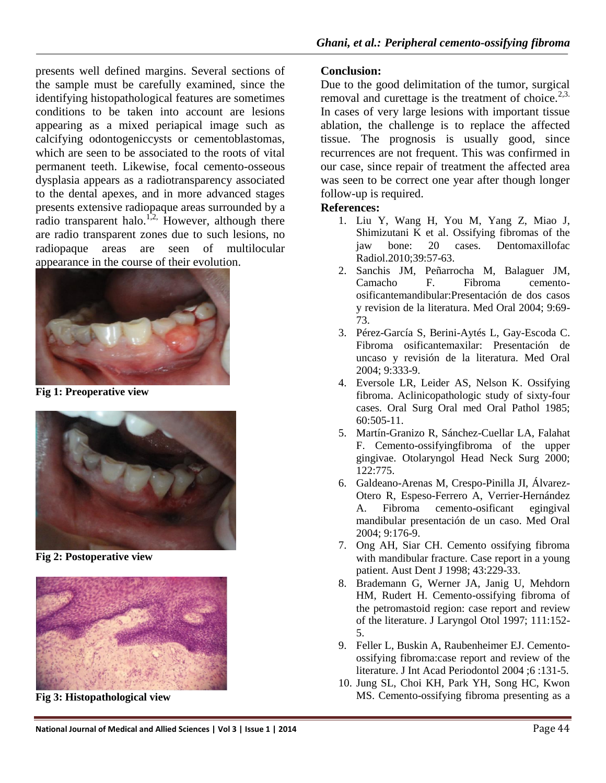presents well defined margins. Several sections of the sample must be carefully examined, since the identifying histopathological features are sometimes conditions to be taken into account are lesions appearing as a mixed periapical image such as calcifying odontogeniccysts or cementoblastomas, which are seen to be associated to the roots of vital permanent teeth. Likewise, focal cemento-osseous dysplasia appears as a radiotransparency associated to the dental apexes, and in more advanced stages presents extensive radiopaque areas surrounded by a radio transparent halo.<sup>1,2,</sup> However, although there are radio transparent zones due to such lesions, no radiopaque areas are seen of multilocular appearance in the course of their evolution.



**Fig 1: Preoperative view**



**Fig 2: Postoperative view**



**Fig 3: Histopathological view**

#### **Conclusion:**

Due to the good delimitation of the tumor, surgical removal and curettage is the treatment of choice.<sup>2,3.</sup> In cases of very large lesions with important tissue ablation, the challenge is to replace the affected tissue. The prognosis is usually good, since recurrences are not frequent. This was confirmed in our case, since repair of treatment the affected area was seen to be correct one year after though longer follow-up is required.

#### **References:**

- 1. Liu Y, Wang H, You M, Yang Z, Miao J, Shimizutani K et al. Ossifying fibromas of the jaw bone: 20 cases. Dentomaxillofac Radiol.2010;39:57-63.
- 2. Sanchis JM, Peñarrocha M, Balaguer JM, Camacho F. Fibroma cementoosificantemandibular:Presentación de dos casos y revision de la literatura. Med Oral 2004; 9:69- 73.
- 3. Pérez-García S, Berini-Aytés L, Gay-Escoda C. Fibroma osificantemaxilar: Presentación de uncaso y revisión de la literatura. Med Oral 2004; 9:333-9.
- 4. Eversole LR, Leider AS, Nelson K. Ossifying fibroma. Aclinicopathologic study of sixty-four cases. Oral Surg Oral med Oral Pathol 1985; 60:505-11.
- 5. Martín-Granizo R, Sánchez-Cuellar LA, Falahat F. Cemento-ossifyingfibroma of the upper gingivae. Otolaryngol Head Neck Surg 2000; 122:775.
- 6. Galdeano-Arenas M, Crespo-Pinilla JI, Álvarez-Otero R, Espeso-Ferrero A, Verrier-Hernández A. Fibroma cemento-osificant egingival mandibular presentación de un caso. Med Oral 2004; 9:176-9.
- 7. Ong AH, Siar CH. Cemento ossifying fibroma with mandibular fracture. Case report in a young patient. Aust Dent J 1998; 43:229-33.
- 8. Brademann G, Werner JA, Janig U, Mehdorn HM, Rudert H. Cemento-ossifying fibroma of the petromastoid region: case report and review of the literature. J Laryngol Otol 1997; 111:152- 5.
- 9. Feller L, Buskin A, Raubenheimer EJ. Cementoossifying fibroma:case report and review of the literature. J Int Acad Periodontol 2004 ;6 :131-5.
- 10. Jung SL, Choi KH, Park YH, Song HC, Kwon MS. Cemento-ossifying fibroma presenting as a